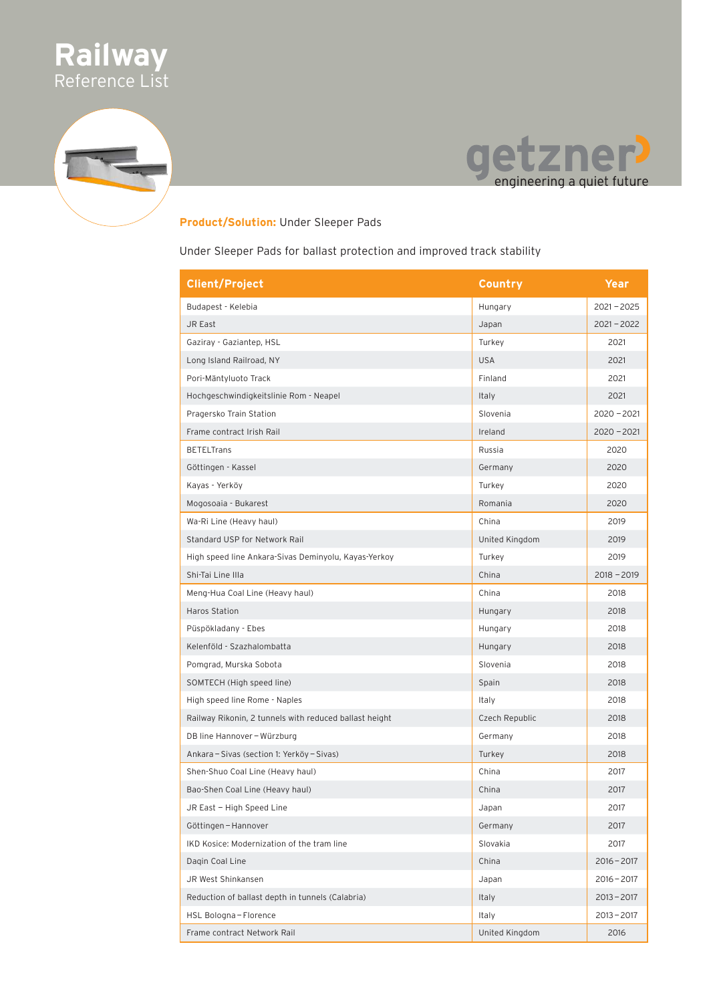



#### **Product/Solution:** Under Sleeper Pads

Under Sleeper Pads for ballast protection and improved track stability

| <b>Client/Project</b>                                  | Country        | Year          |
|--------------------------------------------------------|----------------|---------------|
| Budapest - Kelebia                                     | Hungary        | $2021 - 2025$ |
| JR East                                                | Japan          | $2021 - 2022$ |
| Gaziray - Gaziantep, HSL                               | Turkey         | 2021          |
| Long Island Railroad, NY                               | <b>USA</b>     | 2021          |
| Pori-Mäntyluoto Track                                  | Finland        | 2021          |
| Hochgeschwindigkeitslinie Rom - Neapel                 | Italy          | 2021          |
| Pragersko Train Station                                | Slovenia       | $2020 - 2021$ |
| Frame contract Irish Rail                              | Ireland        | $2020 - 2021$ |
| <b>BETELTrans</b>                                      | Russia         | 2020          |
| Göttingen - Kassel                                     | Germany        | 2020          |
| Kayas - Yerköy                                         | Turkey         | 2020          |
| Mogosoaia - Bukarest                                   | Romania        | 2020          |
| Wa-Ri Line (Heavy haul)                                | China          | 2019          |
| Standard USP for Network Rail                          | United Kingdom | 2019          |
| High speed line Ankara-Sivas Deminyolu, Kayas-Yerkoy   | Turkey         | 2019          |
| Shi-Tai Line IIIa                                      | China          | $2018 - 2019$ |
| Meng-Hua Coal Line (Heavy haul)                        | China          | 2018          |
| <b>Haros Station</b>                                   | Hungary        | 2018          |
| Püspökladany - Ebes                                    | Hungary        | 2018          |
| Kelenföld - Szazhalombatta                             | Hungary        | 2018          |
| Pomgrad, Murska Sobota                                 | Slovenia       | 2018          |
| SOMTECH (High speed line)                              | Spain          | 2018          |
| High speed line Rome - Naples                          | Italy          | 2018          |
| Railway Rikonin, 2 tunnels with reduced ballast height | Czech Republic | 2018          |
| DB line Hannover - Würzburg                            | Germany        | 2018          |
| Ankara - Sivas (section 1: Yerköy - Sivas)             | Turkey         | 2018          |
| Shen-Shuo Coal Line (Heavy haul)                       | China          | 2017          |
| Bao-Shen Coal Line (Heavy haul)                        | China          | 2017          |
| JR East – High Speed Line                              | Japan          | 2017          |
| Göttingen - Hannover                                   | Germany        | 2017          |
| IKD Kosice: Modernization of the tram line             | Slovakia       | 2017          |
| Dagin Coal Line                                        | China          | $2016 - 2017$ |
| JR West Shinkansen                                     | Japan          | $2016 - 2017$ |
| Reduction of ballast depth in tunnels (Calabria)       | Italy          | $2013 - 2017$ |
| HSL Bologna-Florence                                   | Italy          | $2013 - 2017$ |
| Frame contract Network Rail                            | United Kingdom | 2016          |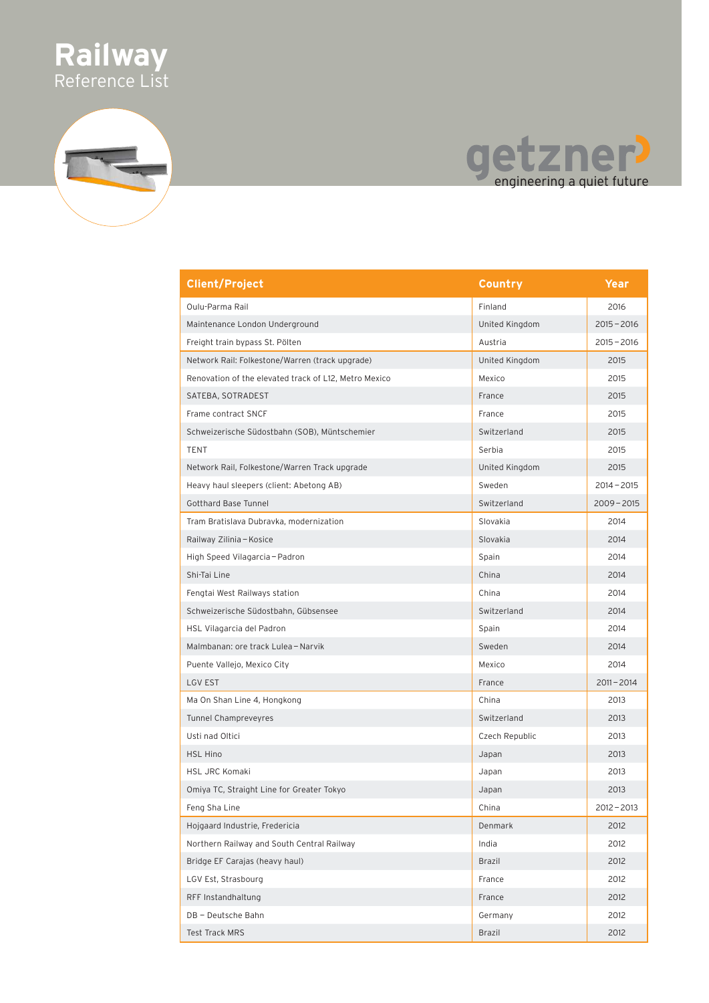

## getzner!

| <b>Client/Project</b>                                 | Country        | Year          |
|-------------------------------------------------------|----------------|---------------|
| Oulu-Parma Rail                                       | Finland        | 2016          |
| Maintenance London Underground                        | United Kingdom | $2015 - 2016$ |
| Freight train bypass St. Pölten                       | Austria        | $2015 - 2016$ |
| Network Rail: Folkestone/Warren (track upgrade)       | United Kingdom | 2015          |
| Renovation of the elevated track of L12, Metro Mexico | Mexico         | 2015          |
| SATEBA, SOTRADEST                                     | France         | 2015          |
| Frame contract SNCF                                   | France         | 2015          |
| Schweizerische Südostbahn (SOB), Müntschemier         | Switzerland    | 2015          |
| TENT                                                  | Serbia         | 2015          |
| Network Rail, Folkestone/Warren Track upgrade         | United Kingdom | 2015          |
| Heavy haul sleepers (client: Abetong AB)              | Sweden         | $2014 - 2015$ |
| <b>Gotthard Base Tunnel</b>                           | Switzerland    | $2009 - 2015$ |
| Tram Bratislava Dubravka, modernization               | Slovakia       | 2014          |
| Railway Zilinia - Kosice                              | Slovakia       | 2014          |
| High Speed Vilagarcia - Padron                        | Spain          | 2014          |
| Shi-Tai Line                                          | China          | 2014          |
| Fengtai West Railways station                         | China          | 2014          |
| Schweizerische Südostbahn, Gübsensee                  | Switzerland    | 2014          |
| HSL Vilagarcia del Padron                             | Spain          | 2014          |
| Malmbanan: ore track Lulea - Narvik                   | Sweden         | 2014          |
| Puente Vallejo, Mexico City                           | Mexico         | 2014          |
| <b>LGV EST</b>                                        | France         | $2011 - 2014$ |
| Ma On Shan Line 4, Hongkong                           | China          | 2013          |
| <b>Tunnel Champreveyres</b>                           | Switzerland    | 2013          |
| Usti nad Oltici                                       | Czech Republic | 2013          |
| <b>HSL Hino</b>                                       | Japan          | 2013          |
| <b>HSL JRC Komaki</b>                                 | Japan          | 2013          |
| Omiya TC, Straight Line for Greater Tokyo             | Japan          | 2013          |
| Feng Sha Line                                         | China          | $2012 - 2013$ |
| Hojgaard Industrie, Fredericia                        | Denmark        | 2012          |
| Northern Railway and South Central Railway            | India          | 2012          |
| Bridge EF Carajas (heavy haul)                        | <b>Brazil</b>  | 2012          |
| LGV Est, Strasbourg                                   | France         | 2012          |
| RFF Instandhaltung                                    | France         | 2012          |
| DB - Deutsche Bahn                                    | Germany        | 2012          |
| <b>Test Track MRS</b>                                 | <b>Brazil</b>  | 2012          |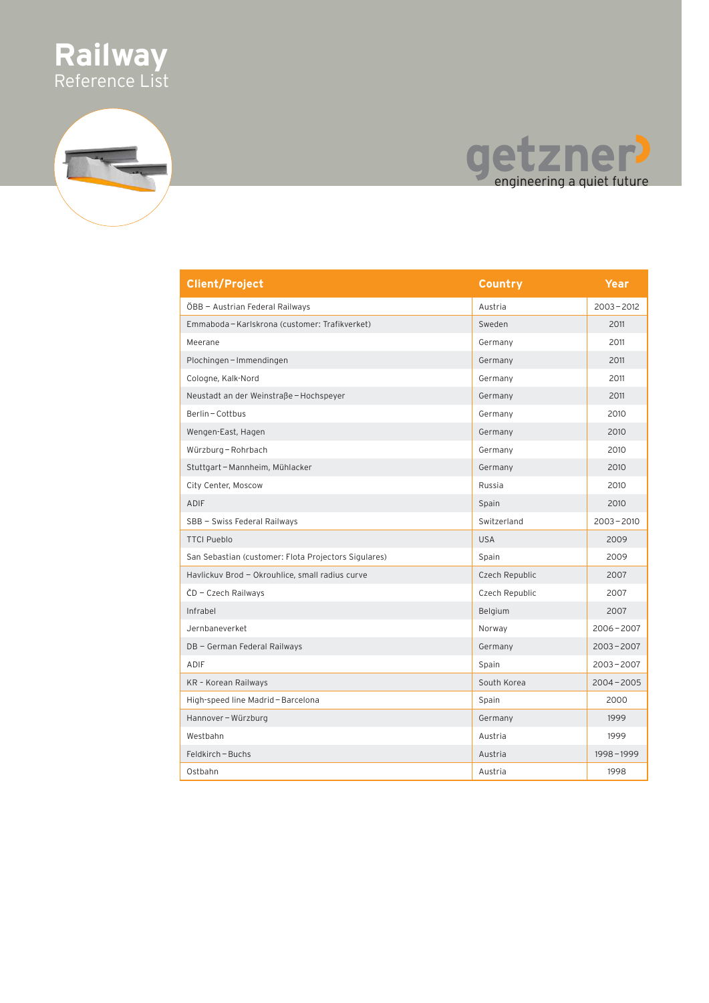

# getzner<sup>)</sup><br>engineering a quiet future

| <b>Client/Project</b>                                | Country        | Year          |
|------------------------------------------------------|----------------|---------------|
| ÖBB - Austrian Federal Railways                      | Austria        | $2003 - 2012$ |
| Emmaboda – Karlskrona (customer: Trafikverket)       | Sweden         | 2011          |
| Meerane                                              | Germany        | 2011          |
| Plochingen - Immendingen                             | Germany        | 2011          |
| Cologne, Kalk-Nord                                   | Germany        | 2011          |
| Neustadt an der Weinstraße - Hochspeyer              | Germany        | 2011          |
| Berlin - Cottbus                                     | Germany        | 2010          |
| Wengen-East, Hagen                                   | Germany        | 2010          |
| Würzburg - Rohrbach                                  | Germany        | 2010          |
| Stuttgart - Mannheim, Mühlacker                      | Germany        | 2010          |
| City Center, Moscow                                  | Russia         | 2010          |
| <b>ADIF</b>                                          | Spain          | 2010          |
| SBB - Swiss Federal Railways                         | Switzerland    | $2003 - 2010$ |
| <b>TTCI Pueblo</b>                                   | <b>USA</b>     | 2009          |
| San Sebastian (customer: Flota Projectors Sigulares) | Spain          | 2009          |
| Havlickuv Brod - Okrouhlice, small radius curve      | Czech Republic | 2007          |
| ČD - Czech Railways                                  | Czech Republic | 2007          |
| Infrabel                                             | Belgium        | 2007          |
| Jernbaneverket                                       | Norway         | $2006 - 2007$ |
| DB - German Federal Railways                         | Germany        | $2003 - 2007$ |
| ADIF                                                 | Spain          | $2003 - 2007$ |
| KR - Korean Railways                                 | South Korea    | $2004 - 2005$ |
| High-speed line Madrid - Barcelona                   | Spain          | 2000          |
| Hannover - Würzburg                                  | Germany        | 1999          |
| Westbahn                                             | Austria        | 1999          |
| Feldkirch-Buchs                                      | Austria        | $1998 - 1999$ |
| Ostbahn                                              | Austria        | 1998          |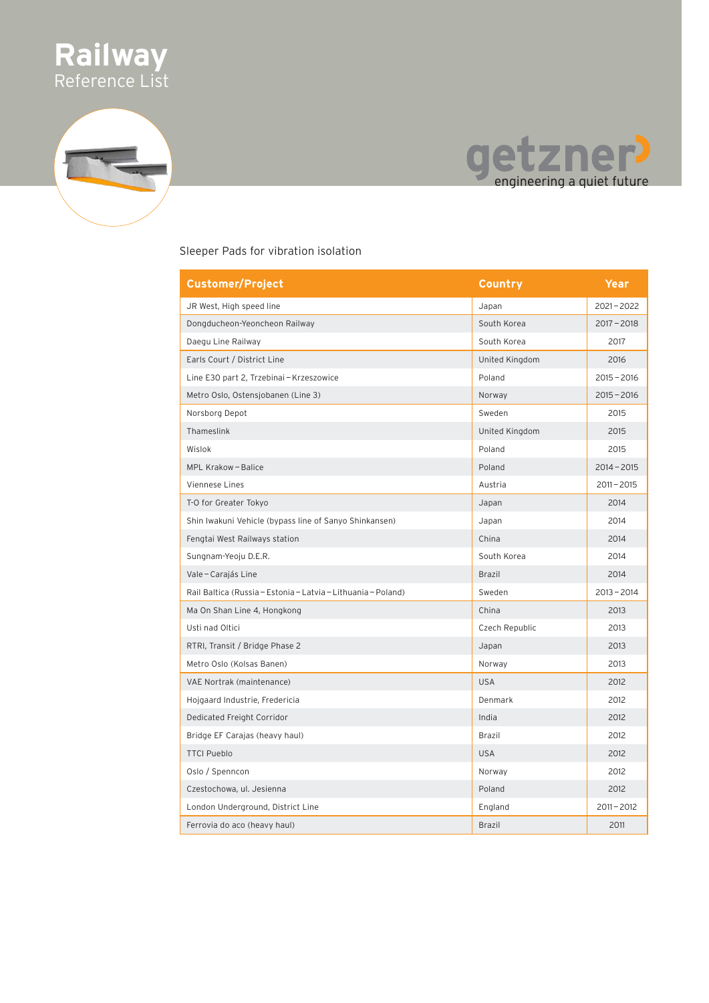



#### Sleeper Pads for vibration isolation

| <b>Customer/Project</b>                                       | Country        | Year          |
|---------------------------------------------------------------|----------------|---------------|
| JR West, High speed line                                      | Japan          | $2021 - 2022$ |
| Dongducheon-Yeoncheon Railway                                 | South Korea    | $2017 - 2018$ |
| Daegu Line Railway                                            | South Korea    | 2017          |
| Earls Court / District Line                                   | United Kingdom | 2016          |
| Line E30 part 2, Trzebinai - Krzeszowice                      | Poland         | $2015 - 2016$ |
| Metro Oslo, Ostensjobanen (Line 3)                            | Norway         | $2015 - 2016$ |
| Norsborg Depot                                                | Sweden         | 2015          |
| Thameslink                                                    | United Kingdom | 2015          |
| Wislok                                                        | Poland         | 2015          |
| MPL Krakow - Balice                                           | Poland         | $2014 - 2015$ |
| Viennese Lines                                                | Austria        | $2011 - 2015$ |
| T-O for Greater Tokyo                                         | Japan          | 2014          |
| Shin Iwakuni Vehicle (bypass line of Sanyo Shinkansen)        | Japan          | 2014          |
| Fengtai West Railways station                                 | China          | 2014          |
| Sungnam-Yeoju D.E.R.                                          | South Korea    | 2014          |
| Vale - Carajás Line                                           | Brazil         | 2014          |
| Rail Baltica (Russia - Estonia - Latvia - Lithuania - Poland) | Sweden         | $2013 - 2014$ |
| Ma On Shan Line 4, Hongkong                                   | China          | 2013          |
| Usti nad Oltici                                               | Czech Republic | 2013          |
| RTRI, Transit / Bridge Phase 2                                | Japan          | 2013          |
| Metro Oslo (Kolsas Banen)                                     | Norway         | 2013          |
| VAE Nortrak (maintenance)                                     | <b>USA</b>     | 2012          |
| Hojgaard Industrie, Fredericia                                | Denmark        | 2012          |
| Dedicated Freight Corridor                                    | India          | 2012          |
| Bridge EF Carajas (heavy haul)                                | Brazil         | 2012          |
| <b>TTCI Pueblo</b>                                            | <b>USA</b>     | 2012          |
| Oslo / Spenncon                                               | Norway         | 2012          |
| Czestochowa, ul. Jesienna                                     | Poland         | 2012          |
| London Underground, District Line                             | England        | $2011 - 2012$ |
| Ferrovia do aco (heavy haul)                                  | <b>Brazil</b>  | 2011          |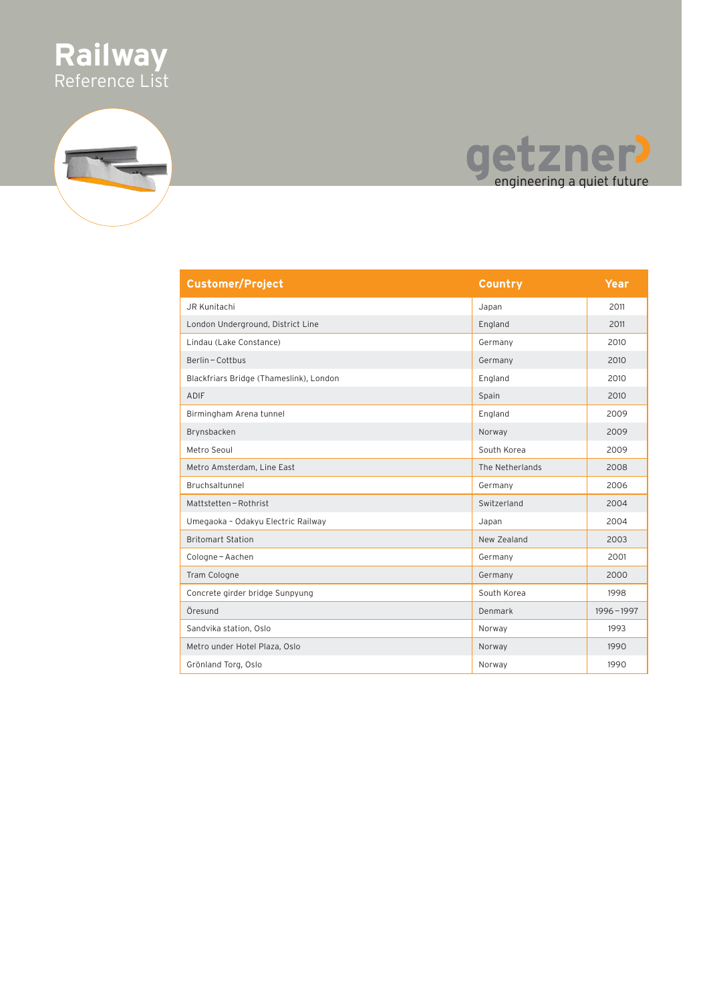





| <b>Customer/Project</b>                 | Country         | Year      |
|-----------------------------------------|-----------------|-----------|
| JR Kunitachi                            | Japan           | 2011      |
| London Underground, District Line       | England         | 2011      |
| Lindau (Lake Constance)                 | Germany         | 2010      |
| Berlin-Cottbus                          | Germany         | 2010      |
| Blackfriars Bridge (Thameslink), London | England         | 2010      |
| <b>ADIF</b>                             | Spain           | 2010      |
| Birmingham Arena tunnel                 | England         | 2009      |
| Brynsbacken                             | Norway          | 2009      |
| Metro Seoul                             | South Korea     | 2009      |
| Metro Amsterdam, Line East              | The Netherlands | 2008      |
| Bruchsaltunnel                          | Germany         | 2006      |
| Mattstetten - Rothrist                  | Switzerland     | 2004      |
| Umegaoka - Odakyu Electric Railway      | Japan           | 2004      |
| <b>Britomart Station</b>                | New Zealand     | 2003      |
| Cologne-Aachen                          | Germany         | 2001      |
| Tram Cologne                            | Germany         | 2000      |
| Concrete girder bridge Sunpyung         | South Korea     | 1998      |
| Öresund                                 | Denmark         | 1996-1997 |
| Sandvika station, Oslo                  | Norway          | 1993      |
| Metro under Hotel Plaza, Oslo           | Norway          | 1990      |
| Grönland Torg, Oslo                     | Norway          | 1990      |